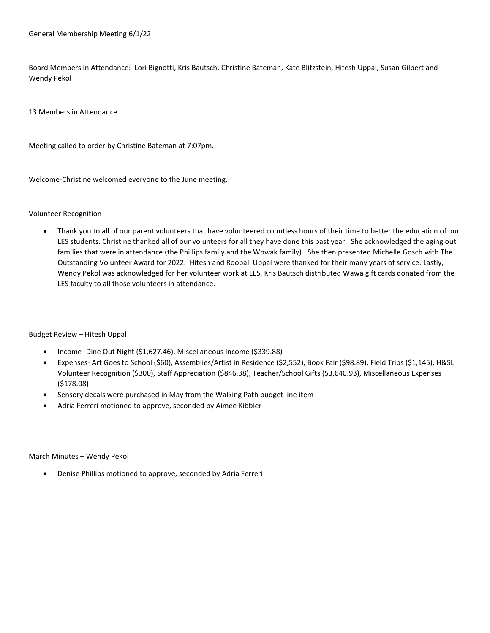Board Members in Attendance: Lori Bignotti, Kris Bautsch, Christine Bateman, Kate Blitzstein, Hitesh Uppal, Susan Gilbert and Wendy Pekol

13 Members in Attendance

Meeting called to order by Christine Bateman at 7:07pm.

Welcome-Christine welcomed everyone to the June meeting.

## Volunteer Recognition

 Thank you to all of our parent volunteers that have volunteered countless hours of their time to better the education of our LES students. Christine thanked all of our volunteers for all they have done this past year. She acknowledged the aging out families that were in attendance (the Phillips family and the Wowak family). She then presented Michelle Gosch with The Outstanding Volunteer Award for 2022. Hitesh and Roopali Uppal were thanked for their many years of service. Lastly, Wendy Pekol was acknowledged for her volunteer work at LES. Kris Bautsch distributed Wawa gift cards donated from the LES faculty to all those volunteers in attendance.

Budget Review – Hitesh Uppal

- Income- Dine Out Night (\$1,627.46), Miscellaneous Income (\$339.88)
- Expenses- Art Goes to School (\$60), Assemblies/Artist in Residence (\$2,552), Book Fair (\$98.89), Field Trips (\$1,145), H&SL Volunteer Recognition (\$300), Staff Appreciation (\$846.38), Teacher/School Gifts (\$3,640.93), Miscellaneous Expenses (\$178.08)
- Sensory decals were purchased in May from the Walking Path budget line item
- Adria Ferreri motioned to approve, seconded by Aimee Kibbler

March Minutes – Wendy Pekol

Denise Phillips motioned to approve, seconded by Adria Ferreri